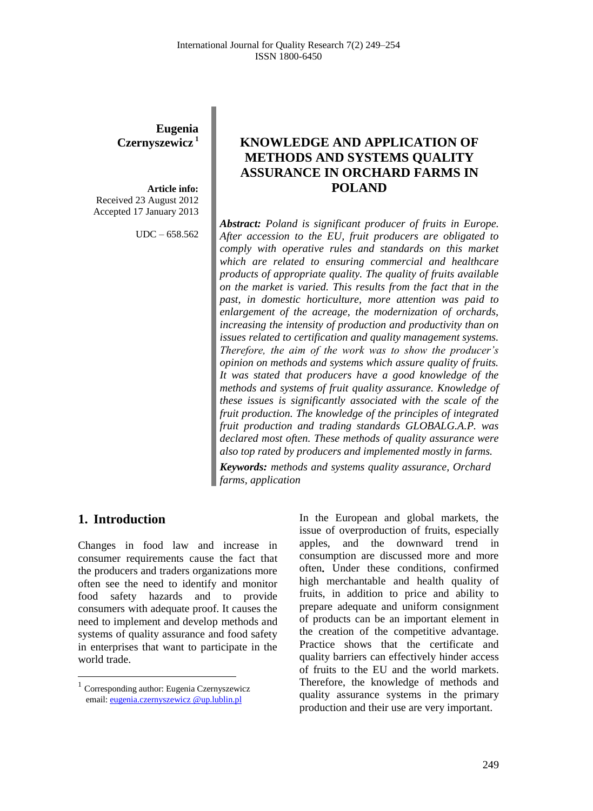# **Eugenia Czernyszewicz <sup>1</sup>**

**Article info:** Received 23 August 2012 Accepted 17 January 2013

UDC – 658.562

# **KNOWLEDGE AND APPLICATION OF METHODS AND SYSTEMS QUALITY ASSURANCE IN ORCHARD FARMS IN POLAND**

*Abstract: Poland is significant producer of fruits in Europe. After accession to the EU, fruit producers are obligated to comply with operative rules and standards on this market which are related to ensuring commercial and healthcare products of appropriate quality. The quality of fruits available on the market is varied. This results from the fact that in the past, in domestic horticulture, more attention was paid to enlargement of the acreage, the modernization of orchards, increasing the intensity of production and productivity than on issues related to certification and quality management systems. Therefore, the aim of the work was to show the producer's opinion on methods and systems which assure quality of fruits. It was stated that producers have a good knowledge of the methods and systems of fruit quality assurance. Knowledge of these issues is significantly associated with the scale of the fruit production. The knowledge of the principles of integrated fruit production and trading standards GLOBALG.A.P. was declared most often. These methods of quality assurance were also top rated by producers and implemented mostly in farms.*

*Keywords: methods and systems quality assurance, Orchard farms, application*

### **1. Introduction<sup>1</sup>**

 $\overline{\phantom{a}}$ 

Changes in food law and increase in consumer requirements cause the fact that the producers and traders organizations more often see the need to identify and monitor food safety hazards and to provide consumers with adequate proof. It causes the need to implement and develop methods and systems of quality assurance and food safety in enterprises that want to participate in the world trade.

In the European and global markets, the issue of overproduction of fruits, especially apples, and the downward trend in consumption are discussed more and more often**.** Under these conditions, confirmed high merchantable and health quality of fruits, in addition to price and ability to prepare adequate and uniform consignment of products can be an important element in the creation of the competitive advantage. Practice shows that the certificate and quality barriers can effectively hinder access of fruits to the EU and the world markets. Therefore, the knowledge of methods and quality assurance systems in the primary production and their use are very important.

<sup>&</sup>lt;sup>1</sup> Corresponding author: Eugenia Czernyszewicz email[: eugenia.czernyszewicz @up.lublin.pl](mailto:eugenia.czernyszewicz%20@up.lublin.pl)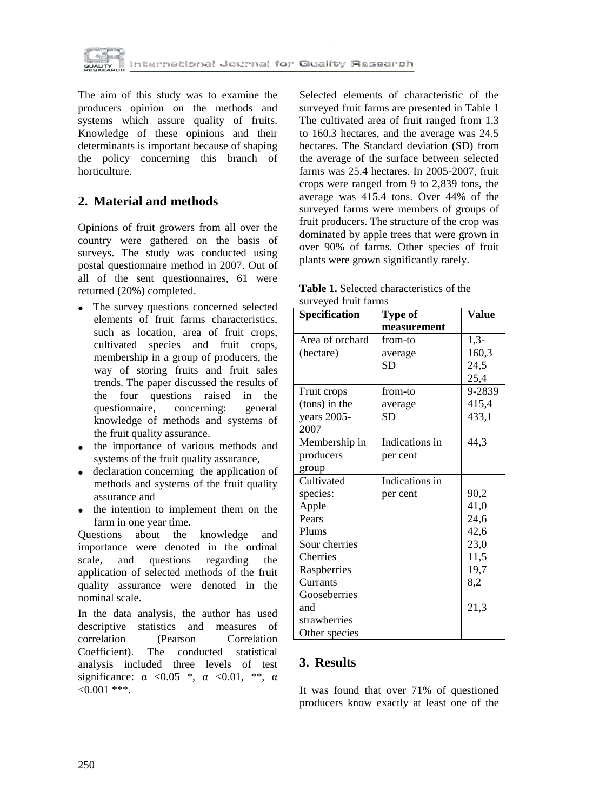

The aim of this study was to examine the producers opinion on the methods and systems which assure quality of fruits. Knowledge of these opinions and their determinants is important because of shaping the policy concerning this branch of horticulture.

### **2. Material and methods**

Opinions of fruit growers from all over the country were gathered on the basis of surveys. The study was conducted using postal questionnaire method in 2007. Out of all of the sent questionnaires, 61 were returned (20%) completed.

- The survey questions concerned selected elements of fruit farms characteristics, such as location, area of fruit crops, cultivated species and fruit crops, membership in a group of producers, the way of storing fruits and fruit sales trends. The paper discussed the results of the four questions raised in the questionnaire, concerning: general knowledge of methods and systems of the fruit quality assurance.
- the importance of various methods and systems of the fruit quality assurance,
- declaration concerning the application of methods and systems of the fruit quality assurance and
- the intention to implement them on the farm in one year time.

Questions about the knowledge and importance were denoted in the ordinal scale, and questions regarding the application of selected methods of the fruit quality assurance were denoted in the nominal scale.

In the data analysis, the author has used descriptive statistics and measures of correlation (Pearson Correlation Coefficient). The conducted statistical analysis included three levels of test significance:  $\alpha \leq 0.05$  \*,  $\alpha \leq 0.01$ , \*\*,  $\alpha$  $< 0.001$  \*\*\*.

Selected elements of characteristic of the surveyed fruit farms are presented in Table 1 The cultivated area of fruit ranged from 1.3 to 160.3 hectares, and the average was 24.5 hectares. The Standard deviation (SD) from the average of the surface between selected farms was 25.4 hectares. In 2005-2007, fruit crops were ranged from 9 to 2,839 tons, the average was 415.4 tons. Over 44% of the surveyed farms were members of groups of fruit producers. The structure of the crop was dominated by apple trees that were grown in over 90% of farms. Other species of fruit plants were grown significantly rarely.

**Table 1.** Selected characteristics of the surveyed fruit farms

| <b>Specification</b> | <b>Type of</b> | Value  |
|----------------------|----------------|--------|
|                      | measurement    |        |
| Area of orchard      | from-to        | $1,3-$ |
| (hectare)            | average        | 160,3  |
|                      | <b>SD</b>      | 24,5   |
|                      |                | 25,4   |
| Fruit crops          | from-to        | 9-2839 |
| (tons) in the        | average        | 415,4  |
| years 2005-          | <b>SD</b>      | 433,1  |
| 2007                 |                |        |
| Membership in        | Indications in | 44,3   |
| producers            | per cent       |        |
| group                |                |        |
| Cultivated           | Indications in |        |
| species:             | per cent       | 90,2   |
| Apple                |                | 41,0   |
| Pears                |                | 24,6   |
| Plums                |                | 42,6   |
| Sour cherries        |                | 23,0   |
| Cherries             |                | 11,5   |
| Raspberries          |                | 19,7   |
| Currants             |                | 8,2    |
| Gooseberries         |                |        |
| and                  |                | 21,3   |
| strawberries         |                |        |
| Other species        |                |        |

### **3. Results**

It was found that over 71% of questioned producers know exactly at least one of the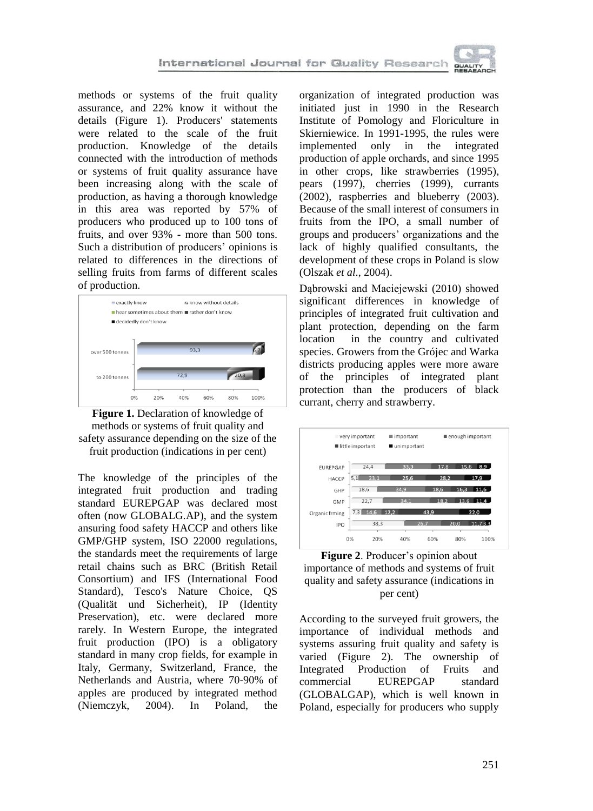methods or systems of the fruit quality assurance, and 22% know it without the details (Figure 1). Producers' statements were related to the scale of the fruit production. Knowledge of the details connected with the introduction of methods or systems of fruit quality assurance have been increasing along with the scale of production, as having a thorough knowledge in this area was reported by 57% of producers who produced up to 100 tons of fruits, and over 93% - more than 500 tons. Such a distribution of producers' opinions is related to differences in the directions of selling fruits from farms of different scales of production.





The knowledge of the principles of the integrated fruit production and trading standard EUREPGAP was declared most often (now GLOBALG.AP), and the system ansuring food safety HACCP and others like GMP/GHP system, ISO 22000 regulations, the standards meet the requirements of large retail chains such as BRC (British Retail Consortium) and IFS (International Food Standard), Tesco's Nature Choice, QS (Qualität und Sicherheit), IP (Identity Preservation), etc. were declared more rarely. In Western Europe, the integrated fruit production (IPO) is a obligatory standard in many crop fields, for example in Italy, Germany, Switzerland, France, the Netherlands and Austria, where 70-90% of apples are produced by integrated method (Niemczyk, 2004). In Poland, the

organization of integrated production was initiated just in 1990 in the Research Institute of Pomology and Floriculture in Skierniewice. In 1991-1995, the rules were implemented only in the integrated production of apple orchards, and since 1995 in other crops, like strawberries (1995), pears (1997), cherries (1999), currants (2002), raspberries and blueberry (2003). Because of the small interest of consumers in fruits from the IPO, a small number of groups and producers' organizations and the lack of highly qualified consultants, the development of these crops in Poland is slow (Olszak *et al*., 2004).

Dąbrowski and Maciejewski (2010) showed significant differences in knowledge of principles of integrated fruit cultivation and plant protection, depending on the farm location in the country and cultivated species. Growers from the Grójec and Warka districts producing apples were more aware of the principles of integrated plant protection than the producers of black currant, cherry and strawberry.



**Figure 2**. Producer's opinion about importance of methods and systems of fruit quality and safety assurance (indications in per cent)

According to the surveyed fruit growers, the importance of individual methods and systems assuring fruit quality and safety is varied (Figure 2). The ownership of Integrated Production of Fruits and commercial EUREPGAP standard (GLOBALGAP), which is well known in Poland, especially for producers who supply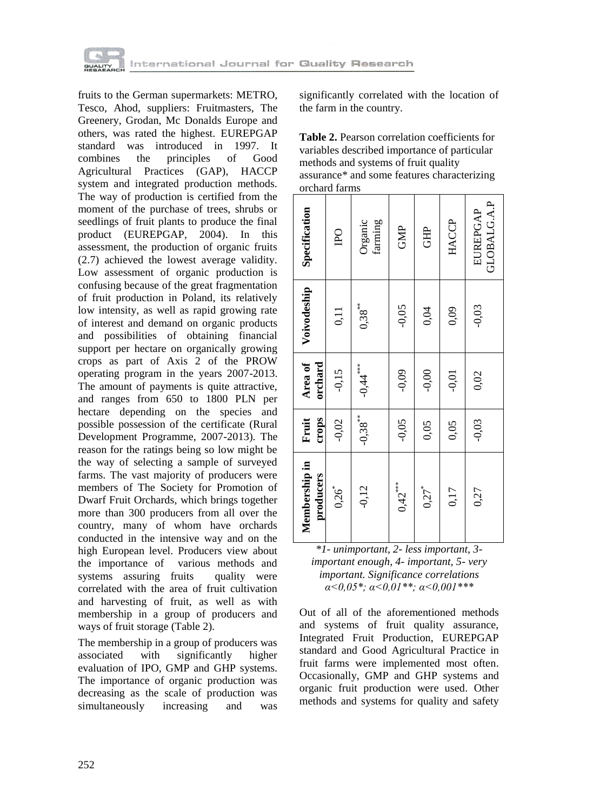

fruits to the German supermarkets: METRO, Tesco, Ahod, suppliers: Fruitmasters, The Greenery, Grodan, Mc Donalds Europe and others, was rated the highest. EUREPGAP standard was introduced in 1997. It combines the principles of Good combines the principles of Good Agricultural Practices (GAP), HACCP system and integrated production methods. The way of production is certified from the moment of the purchase of trees, shrubs or seedlings of fruit plants to produce the final product (EUREPGAP, 2004). In this assessment, the production of organic fruits (2.7) achieved the lowest average validity. Low assessment of organic production is confusing because of the great fragmentation of fruit production in Poland, its relatively low intensity, as well as rapid growing rate of interest and demand on organic products and possibilities of obtaining financial support per hectare on organically growing crops as part of Axis 2 of the PROW operating program in the years 2007-2013. The amount of payments is quite attractive, and ranges from 650 to 1800 PLN per hectare depending on the species and possible possession of the certificate (Rural Development Programme, 2007-2013). The reason for the ratings being so low might be the way of selecting a sample of surveyed farms. The vast majority of producers were members of The Society for Promotion of Dwarf Fruit Orchards, which brings together more than 300 producers from all over the country, many of whom have orchards conducted in the intensive way and on the high European level. Producers view about the importance of various methods and systems assuring fruits quality were correlated with the area of fruit cultivation and harvesting of fruit, as well as with membership in a group of producers and ways of fruit storage (Table 2).

The membership in a group of producers was associated with significantly higher evaluation of IPO, GMP and GHP systems. The importance of organic production was decreasing as the scale of production was simultaneously increasing and was

significantly correlated with the location of the farm in the country.

**Table 2.** Pearson correlation coefficients for variables described importance of particular methods and systems of fruit quality assurance\* and some features characterizing orchard farms

| Membership in<br>producers | crops<br>Fruit | Area of<br>orchard | Voivodeship | Specification                  |
|----------------------------|----------------|--------------------|-------------|--------------------------------|
| $0,26^{*}$                 | $-0,02$        | $-0,15$            | 0,11        | $_{\rm IPO}$                   |
| $-0,12$                    | $-0.38***$     | $-0.44$            | $0.38***$   | Organic<br>farming             |
| $0,42$ ***                 | $-0.05$        | $-0,09$            | $-0.05$     | GMP                            |
| $0,27$ <sup>*</sup>        | 0,05           | $-0,00$            | 0,04        | <b>GHP</b>                     |
| 0,17                       | 0,05           | $-0,01$            | 0,09        | <b>HACCP</b>                   |
| 0,27                       | $-0,03$        | 0,02               | $-0,03$     | GLOBALG.A.P<br><b>EUREPGAP</b> |

| *1 - unimportant, 2 - less important, 3 -                   |
|-------------------------------------------------------------|
| important enough, 4- important, 5- very                     |
| <i>important. Significance correlations</i>                 |
| $\alpha < 0.05$ *; $\alpha < 0.01$ **; $\alpha < 0.001$ *** |

Out of all of the aforementioned methods and systems of fruit quality assurance, Integrated Fruit Production, EUREPGAP standard and Good Agricultural Practice in fruit farms were implemented most often. Occasionally, GMP and GHP systems and organic fruit production were used. Other methods and systems for quality and safety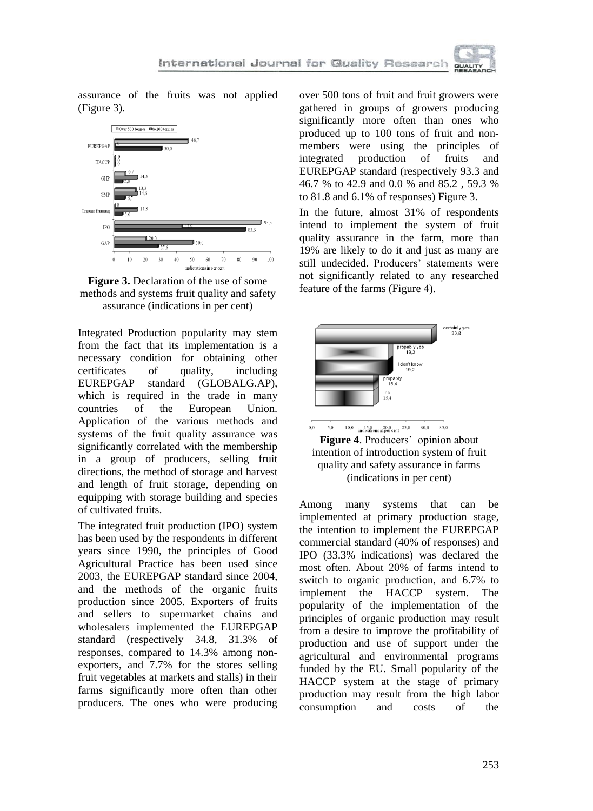assurance of the fruits was not applied (Figure 3).





Integrated Production popularity may stem from the fact that its implementation is a necessary condition for obtaining other certificates of quality, including EUREPGAP standard (GLOBALG.AP), which is required in the trade in many countries of the European Union. Application of the various methods and systems of the fruit quality assurance was significantly correlated with the membership in a group of producers, selling fruit directions, the method of storage and harvest and length of fruit storage, depending on equipping with storage building and species of cultivated fruits.

The integrated fruit production (IPO) system has been used by the respondents in different years since 1990, the principles of Good Agricultural Practice has been used since 2003, the EUREPGAP standard since 2004, and the methods of the organic fruits production since 2005. Exporters of fruits and sellers to supermarket chains and wholesalers implemented the EUREPGAP standard (respectively 34.8, 31.3% of responses, compared to 14.3% among nonexporters, and 7.7% for the stores selling fruit vegetables at markets and stalls) in their farms significantly more often than other producers. The ones who were producing over 500 tons of fruit and fruit growers were gathered in groups of growers producing significantly more often than ones who produced up to 100 tons of fruit and nonmembers were using the principles of<br>integrated production of fruits and production of fruits and EUREPGAP standard (respectively 93.3 and 46.7 % to 42.9 and 0.0 % and 85.2 , 59.3 % to 81.8 and 6.1% of responses) Figure 3.

In the future, almost 31% of respondents intend to implement the system of fruit quality assurance in the farm, more than 19% are likely to do it and just as many are still undecided. Producers' statements were not significantly related to any researched feature of the farms (Figure 4).





Among many systems that can be implemented at primary production stage, the intention to implement the EUREPGAP commercial standard (40% of responses) and IPO (33.3% indications) was declared the most often. About 20% of farms intend to switch to organic production, and 6.7% to implement the HACCP system. The popularity of the implementation of the principles of organic production may result from a desire to improve the profitability of production and use of support under the agricultural and environmental programs funded by the EU. Small popularity of the HACCP system at the stage of primary production may result from the high labor consumption and costs of the